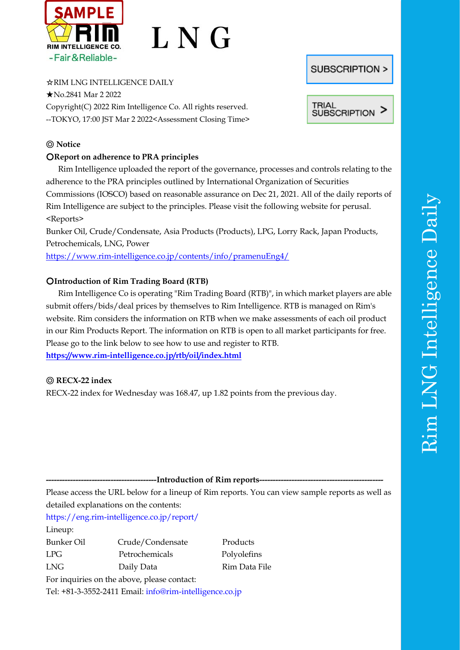

# L N G

☆RIM LNG INTELLIGENCE DAILY

★No.2841 Mar 2 2022 Copyright(C) 2022 Rim Intelligence Co. All rights reserved. --TOKYO, 17:00 JST Mar 2 2022<Assessment Closing Time>

# ◎ **Notice**

## ○**Report on adherence to PRA principles**

Rim Intelligence uploaded the report of the governance, processes and controls relating to the adherence to the PRA principles outlined by International Organization of Securities Commissions (IOSCO) based on reasonable assurance on Dec 21, 2021. All of the daily reports of Rim Intelligence are subject to the principles. Please visit the following website for perusal. <Reports> Bunker Oil, Crude/Condensate, Asia Products (Products), LPG, Lorry Rack, Japan Products,

Petrochemicals, LNG, Power

<https://www.rim-intelligence.co.jp/contents/info/pramenuEng4/>

# ○**Introduction of Rim Trading Board (RTB)**

Rim Intelligence Co is operating "Rim Trading Board (RTB)", in which market players are able submit offers/bids/deal prices by themselves to Rim Intelligence. RTB is managed on Rim's website. Rim considers the information on RTB when we make assessments of each oil product in our Rim Products Report. The information on RTB is open to all market participants for free. Please go to the link below to see how to use and register to RTB. **<https://www.rim-intelligence.co.jp/rtb/oil/index.html>**

# ◎ **RECX-22 index**

RECX-22 index for Wednesday was 168.47, up 1.82 points from the previous day.

-Introduction of Rim reports-

Please access the URL below for a lineup of Rim reports. You can view sample reports as well as detailed explanations on the contents:

<https://eng.rim-intelligence.co.jp/report/>

Lineup:

Bunker Oil Crude/Condensate Products LPG Petrochemicals Polyolefins LNG Daily Data Rim Data File

For inquiries on the above, please contact:

Tel: +81-3-3552-2411 Email: info@rim-intelligence.co.jp

**SUBSCRIPTION >** 

**TRIAL SUBSCRIPTION**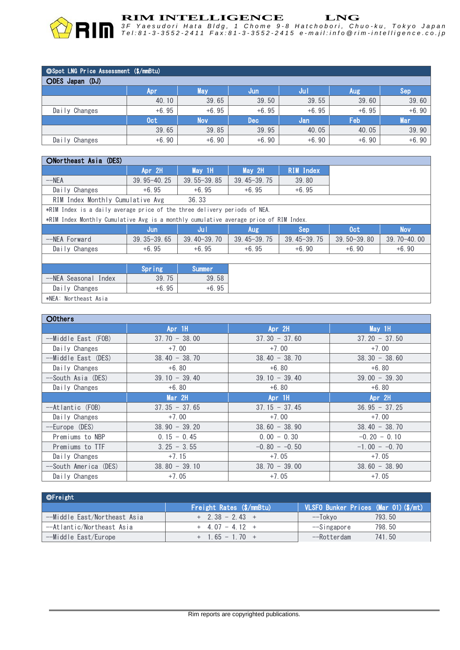

| ©Spot LNG Price Assessment (\$/mmBtu) |                  |            |            |         |            |            |  |  |  |
|---------------------------------------|------------------|------------|------------|---------|------------|------------|--|--|--|
| ODES Japan (DJ)                       |                  |            |            |         |            |            |  |  |  |
|                                       | 'Apr             | May        | Jun        | Jul.    | <b>Aug</b> | Sep        |  |  |  |
|                                       | 40.10            | 39.65      | 39.50      | 39.55   | 39.60      | 39.60      |  |  |  |
| Daily Changes                         | $+6.95$          | $+6.95$    | $+6.95$    | $+6.95$ | $+6.95$    | $+6.90$    |  |  |  |
|                                       | 0 <sub>c</sub> t | <b>Nov</b> | <b>Dec</b> | Jan     | Feb        | <b>Mar</b> |  |  |  |
|                                       | 39.65            | 39.85      | 39.95      | 40.05   | 40.05      | 39.90      |  |  |  |
| Daily Changes                         | $+6.90$          | $+6.90$    | $+6.90$    | $+6.90$ | $+6.90$    | $+6.90$    |  |  |  |

#### ONortheast Asia (DES)

|                                                                                       | Apr 2H                                                                    | May 1H          | May 2H          | <b>RIM Index</b> |                 |                 |  |  |  |  |
|---------------------------------------------------------------------------------------|---------------------------------------------------------------------------|-----------------|-----------------|------------------|-----------------|-----------------|--|--|--|--|
| $-\neg$ NEA                                                                           | $39.95 - 40.25$                                                           | $39.55 - 39.85$ | $39.45 - 39.75$ | 39.80            |                 |                 |  |  |  |  |
| Daily Changes                                                                         | $+6.95$                                                                   | $+6.95$         | $+6.95$         | $+6.95$          |                 |                 |  |  |  |  |
| 36.33<br>RIM Index Monthly Cumulative Avg                                             |                                                                           |                 |                 |                  |                 |                 |  |  |  |  |
|                                                                                       | *RIM Index is a daily average price of the three delivery periods of NEA. |                 |                 |                  |                 |                 |  |  |  |  |
| *RIM Index Monthly Cumulative Avg is a monthly cumulative average price of RIM Index. |                                                                           |                 |                 |                  |                 |                 |  |  |  |  |
|                                                                                       | Jun                                                                       | Jul             | Aug.            | Sep              | 0 <sub>ct</sub> | <b>Nov</b>      |  |  |  |  |
| --NEA Forward                                                                         | $39.35 - 39.65$                                                           | $39.40 - 39.70$ | $39.45 - 39.75$ | $39.45 - 39.75$  | $39.50 - 39.80$ | $39.70 - 40.00$ |  |  |  |  |
| Daily Changes                                                                         | $+6.95$                                                                   | $+6.95$         | $+6.95$         | $+6.90$          | $+6.90$         | $+6.90$         |  |  |  |  |
|                                                                                       |                                                                           |                 |                 |                  |                 |                 |  |  |  |  |
|                                                                                       | Spring                                                                    | <b>Summer</b>   |                 |                  |                 |                 |  |  |  |  |
| --NEA Seasonal Index                                                                  | 39.75                                                                     | 39.58           |                 |                  |                 |                 |  |  |  |  |
| Daily Changes                                                                         | $+6.95$                                                                   | $+6.95$         |                 |                  |                 |                 |  |  |  |  |
| $A \cup B \cap A$ . May the set $A \cup B$                                            |                                                                           |                 |                 |                  |                 |                 |  |  |  |  |

\*NEA: Northeast Asia

| O0thers               |                 |                   |                 |
|-----------------------|-----------------|-------------------|-----------------|
|                       | Apr 1H          | Apr 2H            | May 1H          |
| --Middle East (FOB)   | $37.70 - 38.00$ | $37.30 - 37.60$   | $37.20 - 37.50$ |
| Daily Changes         | $+7.00$         | $+7.00$           | $+7.00$         |
| --Middle East (DES)   | $38.40 - 38.70$ | $38,40 - 38,70$   | $38.30 - 38.60$ |
| Daily Changes         | $+6.80$         | $+6.80$           | $+6.80$         |
| --South Asia (DES)    | $39.10 - 39.40$ | $39.10 - 39.40$   | $39.00 - 39.30$ |
| Daily Changes         | $+6.80$         | $+6.80$           | $+6.80$         |
|                       | Mar 2H          | Apr 1H            | Apr 2H          |
| --Atlantic (FOB)      | $37.35 - 37.65$ | $37.15 - 37.45$   | $36.95 - 37.25$ |
| Daily Changes         | $+7.00$         | $+7.00$           | $+7.00$         |
| --Europe (DES)        | $38.90 - 39.20$ | $38.60 - 38.90$   | $38.40 - 38.70$ |
| Premiums to NBP       | $0.15 - 0.45$   | $0.00 - 0.30$     | $-0.20 - 0.10$  |
| Premiums to TTF       | $3.25 - 3.55$   | $-0.80 - -0.50$   | $-1.00 - -0.70$ |
| Daily Changes         | $+7.15$         | $+7.05$           | $+7.05$         |
| --South America (DES) | $38.80 - 39.10$ | $38, 70 - 39, 00$ | $38.60 - 38.90$ |
| Daily Changes         | $+7.05$         | $+7.05$           | $+7.05$         |

| <b>OFreight</b>              |                          |                                      |
|------------------------------|--------------------------|--------------------------------------|
|                              | Freight Rates (\$/mmBtu) | VLSFO Bunker Prices (Mar 01) (\$/mt) |
| --Middle East/Northeast Asia | $+$ 2.38 - 2.43 +        | 793, 50<br>--Tokvo                   |
| --Atlantic/Northeast Asia    | $+ 4.07 - 4.12 +$        | 798.50<br>--Singapore                |
| --Middle East/Europe         | $+$ 1.65 - 1.70 +        | 741.50<br>--Rotterdam                |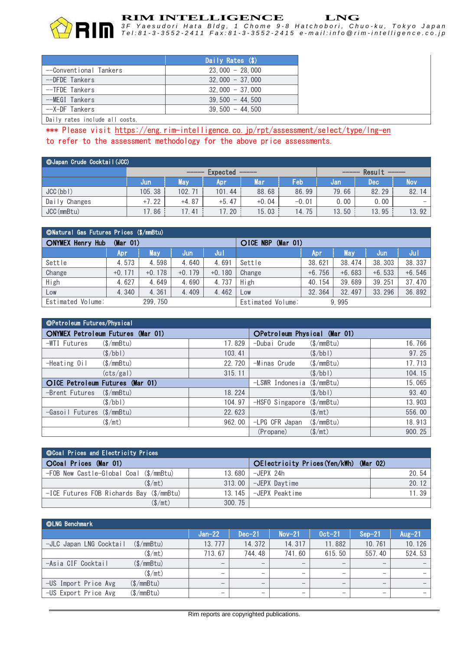

## **RIM INTELLIGENCE LNG**

*3 F Y a e s u d o r i H a t a B l d g , 1 C h o m e 9 - 8 H a t c h o b o r i , C h u o - k u , T o k y o J a p a n* Tel:81-3-3552-2411 Fax:81-3-3552-2415 e-mail:info @rim-intelligence.co.jp

|                                                                                                                                                                                                                               | Daily Rates (\$)  |
|-------------------------------------------------------------------------------------------------------------------------------------------------------------------------------------------------------------------------------|-------------------|
| --Conventional Tankers                                                                                                                                                                                                        | $23.000 - 28.000$ |
| --DFDE Tankers                                                                                                                                                                                                                | $32,000 - 37,000$ |
| --TFDE Tankers                                                                                                                                                                                                                | $32,000 - 37,000$ |
| --MEGI Tankers                                                                                                                                                                                                                | $39.500 - 44.500$ |
| --X-DF Tankers                                                                                                                                                                                                                | $39.500 - 44.500$ |
| The School and Education and Constitution of the Constitution of the Constitution of the Constitution of the Constitution of the Constitution of the Constitution of the Constitution of the Constitution of the Constitution |                   |

Daily rates include all costs.

\*\*\* Please visit https://eng.rim-intelligence.co.jp/rpt/assessment/select/type/Ing-en to refer to the assessment methodology for the above price assessments.

| © Japan Crude Cocktail (JCC) |         |                    |         |            |         |       |            |                   |
|------------------------------|---------|--------------------|---------|------------|---------|-------|------------|-------------------|
|                              |         | Result<br>Expected |         |            |         |       |            |                   |
|                              | Jun.    | <b>May</b>         | Apr     | <b>Mar</b> | Feb     | Jan   | <b>Dec</b> | <b>Nov</b>        |
| JCC(bb)                      | 105.38  | 102.71             | 101.44  | 88.68      | 86.99   | 79.66 | 82.29      | 82.14             |
| Daily Changes                | $+7.22$ | $+4.87$            | $+5.47$ | $+0.04$    | $-0.01$ | 0.00  | 0.00       | $\qquad \qquad -$ |
| JCC (mmBtu)                  | 17.86   | 17.<br>.41         | 17.20   | 15.03      | 14.75   | 13.50 | 13.95      | 13.92             |

| ©Natural Gas Futures Prices (\$/mmBtu) |          |          |          |                      |                   |          |          |          |          |  |  |
|----------------------------------------|----------|----------|----------|----------------------|-------------------|----------|----------|----------|----------|--|--|
| <b>ONYMEX Henry Hub</b><br>(Mar 01)    |          |          |          | OICE NBP<br>(Mar 01) |                   |          |          |          |          |  |  |
|                                        | 'Apr     | May      | Jun      | Jul                  |                   | 'Apr     | May      | Jun      | Jul      |  |  |
| Settle                                 | 4.573    | 4.598    | 4.640    | 4.691                | Settle            | 38.621   | 38, 474  | 38, 303  | 38.337   |  |  |
| Change                                 | $+0.171$ | $+0.178$ | $+0.179$ | $+0.180$             | Change            | $+6.756$ | $+6.683$ | $+6.533$ | $+6.546$ |  |  |
| High                                   | 4.627    | 4.649    | 4.690    | 4.737                | High              | 40.154   | 39.689   | 39.251   | 37.470   |  |  |
| Low                                    | 4.340    | 4.361    | 4.409    | 4.462                | Low               | 32.364   | 32.497   | 33.296   | 36.892   |  |  |
| Estimated Volume:                      |          | 299, 750 |          |                      | Estimated Volume: |          | 9.995    |          |          |  |  |

| OPetroleum Futures/Physical              |        |                                |                       |        |  |  |
|------------------------------------------|--------|--------------------------------|-----------------------|--------|--|--|
| <b>ONYMEX Petroleum Futures (Mar 01)</b> |        | OPetroleum Physical (Mar 01)   |                       |        |  |  |
| -WTI Futures<br>$(\$/\text{mmBtu})$      | 17.829 | -Dubai Crude                   | $(\$/mmBtu)$          | 16.766 |  |  |
| (S/bb)                                   | 103.41 |                                | (S/bb)                | 97.25  |  |  |
| $(\$/\text{mmBtu})$<br>-Heating Oil      | 22.720 | -Minas Crude                   | $(\$/mmBtu)$          | 17.713 |  |  |
| (cts/gal)                                | 315.11 |                                | $(\frac{\sqrt{}}{2})$ | 104.15 |  |  |
| OICE Petroleum Futures (Mar 01)          |        | $-LSWR$ Indonesia (\$/mmBtu)   |                       | 15.065 |  |  |
| -Brent Futures<br>(S/mmBtu)              | 18.224 |                                | $(\frac{\sqrt{}}{2})$ | 93.40  |  |  |
| (S/bb)                                   | 104.97 | $-HSFO$ Singapore $(\$/mmBtu)$ |                       | 13.903 |  |  |
| -Gasoil Futures (\$/mmBtu)               | 22.623 |                                | $(\frac{\pi}{3})$     | 556.00 |  |  |
| $(\frac{\sqrt{m}}{\sqrt{m}})$            | 962.00 | -LPG CFR Japan                 | $(\$/mmBtu)$          | 18.913 |  |  |
|                                          |        | (Propane)                      | $(\frac{\pi}{3})$     | 900.25 |  |  |

| <b>OCoal Prices and Electricity Prices</b> |        |                                        |       |  |  |  |  |  |  |  |
|--------------------------------------------|--------|----------------------------------------|-------|--|--|--|--|--|--|--|
| OCoal Prices (Mar 01)                      |        | OElectricity Prices (Yen/kWh) (Mar 02) |       |  |  |  |  |  |  |  |
| -FOB New Castle-Global Coal (\$/mmBtu)     | 13.680 | -JFPX 24h                              | 20.54 |  |  |  |  |  |  |  |
| (S/mt)                                     | 313.00 | -JEPX Davtime                          | 20.12 |  |  |  |  |  |  |  |
| -ICE Futures FOB Richards Bay (\$/mmBtu)   | 13.145 | -JFPX Peaktime                         | 11.39 |  |  |  |  |  |  |  |
| $(\$/mt)$                                  | 300.75 |                                        |       |  |  |  |  |  |  |  |

| ©LNG Benchmark          |                     |                          |                          |                          |                          |                          |           |
|-------------------------|---------------------|--------------------------|--------------------------|--------------------------|--------------------------|--------------------------|-----------|
|                         |                     | $Jan-22$                 | $Dec-21$                 | $Nov-21$                 | $0$ ct-21                | $Sep-21$                 | Aug $-21$ |
| -JLC Japan LNG Cocktail | (S/mmBtu)           | 13.777                   | 14.372                   | 14.317                   | 11.882                   | 10.761                   | 10.126    |
|                         | $(\$/mt)$           | 713.67                   | 744.48                   | 741.60                   | 615.50                   | 557.40                   | 524.53    |
| -Asia CIF Cocktail      | $(\$/\text{mmBtu})$ | $\overline{\phantom{m}}$ | $\overline{\phantom{m}}$ | $\qquad \qquad$          | $\overline{\phantom{m}}$ |                          |           |
|                         | $(\$/mt)$           |                          | $\overline{\phantom{m}}$ |                          | $\overline{\phantom{m}}$ | $\overline{\phantom{a}}$ |           |
| -US Import Price Avg    | (\$/mmBtu)          | $\overline{\phantom{m}}$ | $\overline{\phantom{m}}$ | $\overline{\phantom{m}}$ | $\overline{\phantom{m}}$ | $\overline{\phantom{a}}$ |           |
| -US Export Price Avg    | (\$/mmBtu)          |                          | $\overline{\phantom{m}}$ |                          |                          |                          |           |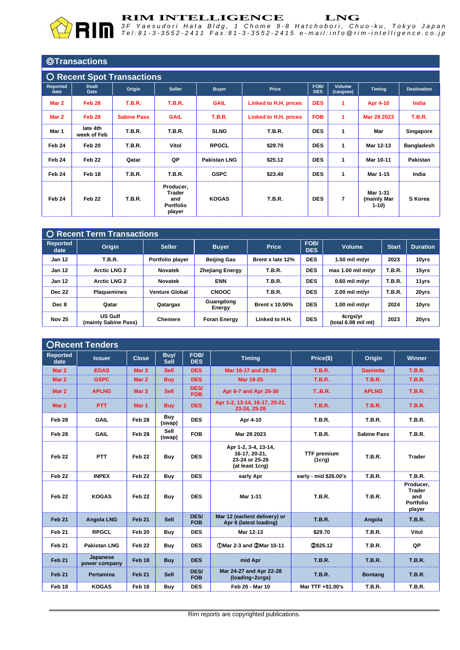|                                   | <b>©Transactions</b>        |                    |                                                          |                     |                       |                    |                     |                                   |                    |  |
|-----------------------------------|-----------------------------|--------------------|----------------------------------------------------------|---------------------|-----------------------|--------------------|---------------------|-----------------------------------|--------------------|--|
| <b>O Recent Spot Transactions</b> |                             |                    |                                                          |                     |                       |                    |                     |                                   |                    |  |
| Reported<br>date                  | <b>Dealt</b><br><b>Date</b> | Origin             | <b>Seller</b>                                            | <b>Buyer</b>        | Price                 | FOB/<br><b>DES</b> | Volume<br>(cargoes) | <b>Timing</b>                     | <b>Destination</b> |  |
| Mar 2                             | Feb <sub>28</sub>           | <b>T.B.R.</b>      | <b>T.B.R.</b>                                            | <b>GAIL</b>         | Linked to H.H. prices | <b>DES</b>         | 1                   | <b>Apr 4-10</b>                   | India              |  |
| Mar 2                             | Feb 28                      | <b>Sabine Pass</b> | <b>GAIL</b>                                              | <b>T.B.R.</b>       | Linked to H.H. prices | <b>FOB</b>         | -1                  | Mar 28 2023                       | <b>T.B.R.</b>      |  |
| Mar 1                             | late 4th<br>week of Feb     | <b>T.B.R.</b>      | <b>T.B.R.</b>                                            | <b>SLNG</b>         | <b>T.B.R.</b>         | <b>DES</b>         | $\mathbf{1}$        | Mar                               | Singapore          |  |
| Feb 24                            | Feb 20                      | <b>T.B.R.</b>      | Vitol                                                    | <b>RPGCL</b>        | \$29.70               | <b>DES</b>         | $\mathbf{1}$        | Mar 12-13                         | <b>Bangladesh</b>  |  |
| Feb 24                            | Feb 22                      | Qatar              | QP                                                       | <b>Pakistan LNG</b> | \$25.12               | <b>DES</b>         | $\mathbf{1}$        | Mar 10-11                         | Pakistan           |  |
| Feb 24                            | Feb 18                      | <b>T.B.R.</b>      | <b>T.B.R.</b>                                            | <b>GSPC</b>         | \$23.40               | <b>DES</b>         | $\mathbf{1}$        | Mar 1-15                          | India              |  |
| Feb 24                            | Feb <sub>22</sub>           | <b>T.B.R.</b>      | Producer,<br><b>Trader</b><br>and<br>Portfolio<br>player | <b>KOGAS</b>        | <b>T.B.R.</b>         | <b>DES</b>         | 7                   | Mar 1-31<br>(mainly Mar<br>$1-10$ | S Korea            |  |

|                         | <b>O Recent Term Transactions</b>      |                       |                        |                       |                    |                                 |               |                 |  |  |  |
|-------------------------|----------------------------------------|-----------------------|------------------------|-----------------------|--------------------|---------------------------------|---------------|-----------------|--|--|--|
| <b>Reported</b><br>date | <b>Origin</b>                          | <b>Seller</b>         | <b>Buyer</b>           | <b>Price</b>          | FOB/<br><b>DES</b> | <b>Volume</b>                   | <b>Start</b>  | <b>Duration</b> |  |  |  |
| <b>Jan 12</b>           | <b>T.B.R.</b>                          | Portfolio player      | <b>Beijing Gas</b>     | Brent x late 12%      | <b>DES</b>         | $1.50$ mil mt/yr                | 2023          | 10yrs           |  |  |  |
| <b>Jan 12</b>           | <b>Arctic LNG 2</b>                    | Novatek               | <b>Zhejiang Energy</b> | <b>T.B.R.</b>         | <b>DES</b>         | max 1.00 mil mt/vr              | <b>T.B.R.</b> | 15yrs           |  |  |  |
| <b>Jan 12</b>           | <b>Arctic LNG 2</b>                    | <b>Novatek</b>        | <b>ENN</b>             | <b>T.B.R.</b>         | <b>DES</b>         | $0.60$ mil mt/vr                | <b>T.B.R.</b> | 11yrs           |  |  |  |
| <b>Dec 22</b>           | <b>Plaquemines</b>                     | <b>Venture Global</b> | <b>CNOOC</b>           | <b>T.B.R.</b>         | <b>DES</b>         | $2.00$ mil mt/vr                | <b>T.B.R.</b> | 20yrs           |  |  |  |
| Dec 8                   | Qatar                                  | Qatargas              | Guangdong<br>Energy    | <b>Brent x 10.50%</b> | <b>DES</b>         | 1.00 mil mt/vr                  | 2024          | 10yrs           |  |  |  |
| <b>Nov 25</b>           | <b>US Gulf</b><br>(mainly Sabine Pass) | <b>Cheniere</b>       | <b>Foran Energy</b>    | Linked to H.H.        | <b>DES</b>         | 4crgs/yr<br>(total 6.08 mil mt) | 2023          | 20yrs           |  |  |  |

# ○**Recent Tenders**

| <b>Reported</b><br>date | <b>Issuer</b>             | <b>Close</b>      | <b>Buy/</b><br><b>Sell</b> | FOB/<br><b>DES</b> | <b>Timing</b>                                                              | Price(\$)                    | <b>Origin</b>      | <b>Winner</b>                                            |
|-------------------------|---------------------------|-------------------|----------------------------|--------------------|----------------------------------------------------------------------------|------------------------------|--------------------|----------------------------------------------------------|
| Mar 2                   | <b>EGAS</b>               | Mar <sub>3</sub>  | <b>Sell</b>                | <b>DES</b>         | Mar 16-17 and 29-30                                                        | <b>T.B.R.</b>                | <b>Damietta</b>    | <b>T.B.R.</b>                                            |
| Mar 2                   | <b>GSPC</b>               | Mar 2             | <b>Buy</b>                 | <b>DES</b>         | <b>Mar 19-25</b>                                                           | <b>T.B.R.</b>                | <b>T.B.R.</b>      | <b>T.B.R.</b>                                            |
| Mar 2                   | <b>APLNG</b>              | Mar <sub>3</sub>  | <b>Sell</b>                | DES/<br><b>FOB</b> | Apr 6-7 and Apr 28-30                                                      | <b>T.B.R.</b>                | <b>APLNG</b>       | <b>T.B.R.</b>                                            |
| Mar 2                   | PTT                       | Mar 1             | <b>Buy</b>                 | <b>DES</b>         | Apr 1-2, 13-14, 16-17, 20-21,<br>23-24. 25-26                              | <b>T.B.R.</b>                | <b>T.B.R.</b>      | <b>T.B.R.</b>                                            |
| Feb 28                  | <b>GAIL</b>               | Feb 28            | Buy<br>(swap)              | <b>DES</b>         | Apr 4-10                                                                   | <b>T.B.R.</b>                | <b>T.B.R.</b>      | <b>T.B.R.</b>                                            |
| Feb 28                  | <b>GAIL</b>               | Feb 28            | Sell<br>(swap)             | <b>FOB</b>         | Mar 28 2023                                                                | <b>T.B.R.</b>                | <b>Sabine Pass</b> | <b>T.B.R.</b>                                            |
| Feb <sub>22</sub>       | <b>PTT</b>                | Feb <sub>22</sub> | Buy                        | <b>DES</b>         | Apr 1-2, 3-4, 13-14,<br>16-17, 20-21,<br>23-24 or 25-26<br>(at least 1crg) | <b>TTF</b> premium<br>(1crg) | <b>T.B.R.</b>      | <b>Trader</b>                                            |
| Feb <sub>22</sub>       | <b>INPEX</b>              | Feb <sub>22</sub> | Buy                        | <b>DES</b>         | early Apr                                                                  | early - mid \$26.00's        | <b>T.B.R.</b>      | <b>T.B.R.</b>                                            |
| Feb <sub>22</sub>       | <b>KOGAS</b>              | Feb <sub>22</sub> | <b>Buy</b>                 | <b>DES</b>         | Mar 1-31                                                                   | <b>T.B.R.</b>                | <b>T.B.R.</b>      | Producer,<br><b>Trader</b><br>and<br>Portfolio<br>player |
| Feb <sub>21</sub>       | <b>Angola LNG</b>         | Feb 21            | <b>Sell</b>                | DES/<br><b>FOB</b> | Mar 12 (earliest delivery) or<br>Apr 6 (latest loading)                    | <b>T.B.R.</b>                | Angola             | <b>T.B.R.</b>                                            |
| Feb <sub>21</sub>       | <b>RPGCL</b>              | Feb 20            | Buy                        | <b>DES</b>         | Mar 12-13                                                                  | \$29.70                      | <b>T.B.R.</b>      | Vitol                                                    |
| Feb <sub>21</sub>       | <b>Pakistan LNG</b>       | Feb <sub>22</sub> | Buy                        | <b>DES</b>         | 10-11 (DMar 2-3 and 2Mar 10-11                                             | 20\$25.12                    | <b>T.B.R.</b>      | QP                                                       |
| Feb <sub>21</sub>       | Japanese<br>power company | Feb <sub>18</sub> | <b>Buy</b>                 | <b>DES</b>         | mid Apr                                                                    | <b>T.B.R.</b>                | <b>T.B.R.</b>      | <b>T.B.R.</b>                                            |
| Feb <sub>21</sub>       | <b>Pertamina</b>          | Feb 21            | Sell                       | DES/<br><b>FOB</b> | Mar 24-27 and Apr 22-28<br>(loading - 2crgs)                               | <b>T.B.R.</b>                | <b>Bontang</b>     | <b>T.B.R.</b>                                            |
| Feb 18                  | <b>KOGAS</b>              | Feb 16            | <b>Buy</b>                 | <b>DES</b>         | Feb 20 - Mar 10                                                            | Mar TTF +\$1.00's            | <b>T.B.R.</b>      | <b>T.B.R.</b>                                            |
|                         |                           |                   |                            |                    |                                                                            |                              |                    |                                                          |

Rim reports are copyrighted publications.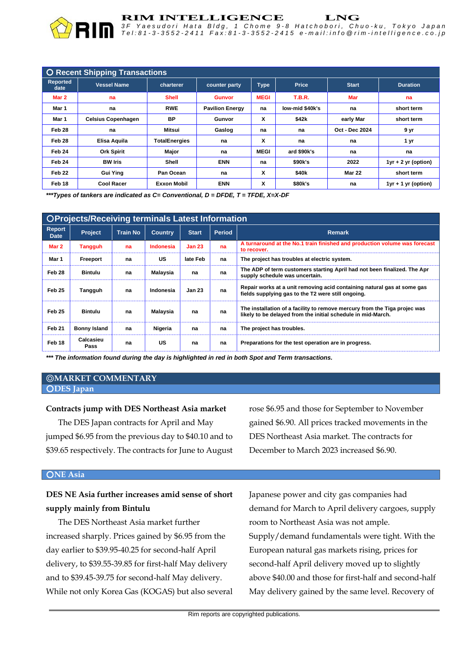

#### **RIM INTELLIGENCE LNG**

*3 F Y a e s u d o r i H a t a B l d g , 1 C h o m e 9 - 8 H a t c h o b o r i , C h u o - k u , T o k y o J a p a n* Tel:81-3-3552-2411 Fax:81-3-3552-2415 e-mail:info @rim-intelligence.co.jp

| <b>O Recent Shipping Transactions</b> |                           |                      |                        |             |                   |                       |                       |
|---------------------------------------|---------------------------|----------------------|------------------------|-------------|-------------------|-----------------------|-----------------------|
| <b>Reported</b><br>date               | <b>Vessel Name</b>        | charterer            | counter party          | <b>Type</b> | Price             | <b>Start</b>          | <b>Duration</b>       |
| Mar 2                                 | na                        | <b>Shell</b>         | <b>Gunvor</b>          | <b>MEGI</b> | <b>T.B.R.</b>     | <b>Mar</b>            | na                    |
| Mar 1                                 | na                        | <b>RWE</b>           | <b>Pavilion Energy</b> | na          | low-mid \$40k's   | na                    | short term            |
| Mar 1                                 | <b>Celsius Copenhagen</b> | <b>BP</b>            | Gunvor                 | X           | \$42k             | early Mar             | short term            |
| Feb 28                                | na                        | Mitsui               | Gaslog                 | na          | na                | <b>Oct - Dec 2024</b> | 9 yr                  |
| Feb 28                                | Elisa Aquila              | <b>TotalEnergies</b> | na                     | X           | na                | na                    | 1 yr                  |
| Feb 24                                | <b>Ork Spirit</b>         | Major                | na                     | <b>MEGI</b> | ard \$90k's       | na                    | na                    |
| Feb 24                                | <b>BW Iris</b>            | Shell                | <b>ENN</b>             | na          | \$90k's           | 2022                  | $1yr + 2 yr$ (option) |
| Feb <sub>22</sub>                     | <b>Gui Ying</b>           | Pan Ocean            | na                     | X           | \$40 <sub>k</sub> | <b>Mar 22</b>         | short term            |
| Feb 18                                | <b>Cool Racer</b>         | <b>Exxon Mobil</b>   | <b>ENN</b>             | X           | \$80k's           | na                    | $1yr + 1 yr$ (option) |

*\*\*\*Types of tankers are indicated as C= Conventional, D = DFDE, T = TFDE, X=X-DF*

| OProjects/Receiving terminals Latest Information |                     |                 |                |               |               |                                                                                                                                           |
|--------------------------------------------------|---------------------|-----------------|----------------|---------------|---------------|-------------------------------------------------------------------------------------------------------------------------------------------|
| <b>Report</b><br><b>Date</b>                     | Project             | <b>Train No</b> | <b>Country</b> | <b>Start</b>  | <b>Period</b> | <b>Remark</b>                                                                                                                             |
| Mar 2                                            | Tangguh             | na              | Indonesia      | <b>Jan 23</b> | na            | A turnaround at the No.1 train finished and production volume was forecast<br>to recover.                                                 |
| Mar 1                                            | Freeport            | na              | US             | late Feb      | na            | The project has troubles at electric system.                                                                                              |
| Feb 28                                           | <b>Bintulu</b>      | na              | Malaysia       | na            | na            | The ADP of term customers starting April had not been finalized. The Apr<br>supply schedule was uncertain.                                |
| Feb 25                                           | Tangguh             | na              | Indonesia      | <b>Jan 23</b> | na            | Repair works at a unit removing acid containing natural gas at some gas<br>fields supplying gas to the T2 were still ongoing.             |
| Feb 25                                           | <b>Bintulu</b>      | na              | Malaysia       | na            | na            | The installation of a facility to remove mercury from the Tiga projec was<br>likely to be delayed from the initial schedule in mid-March. |
| Feb 21                                           | <b>Bonny Island</b> | na              | Nigeria        | na            | na            | The project has troubles.                                                                                                                 |
| Feb 18                                           | Calcasieu<br>Pass   | na              | US             | na            | na            | Preparations for the test operation are in progress.                                                                                      |

*\*\*\* The information found during the day is highlighted in red in both Spot and Term transactions.*

#### ◎**MARKET COMMENTARY** ○**DES Japan**

#### **Contracts jump with DES Northeast Asia market**

The DES Japan contracts for April and May jumped \$6.95 from the previous day to \$40.10 and to \$39.65 respectively. The contracts for June to August rose \$6.95 and those for September to November gained \$6.90. All prices tracked movements in the DES Northeast Asia market. The contracts for December to March 2023 increased \$6.90.

#### ○**NE Asia**

# **DES NE Asia further increases amid sense of short supply mainly from Bintulu**

The DES Northeast Asia market further increased sharply. Prices gained by \$6.95 from the day earlier to \$39.95-40.25 for second-half April delivery, to \$39.55-39.85 for first-half May delivery and to \$39.45-39.75 for second-half May delivery. While not only Korea Gas (KOGAS) but also several Japanese power and city gas companies had demand for March to April delivery cargoes, supply room to Northeast Asia was not ample. Supply/demand fundamentals were tight. With the European natural gas markets rising, prices for second-half April delivery moved up to slightly above \$40.00 and those for first-half and second-half May delivery gained by the same level. Recovery of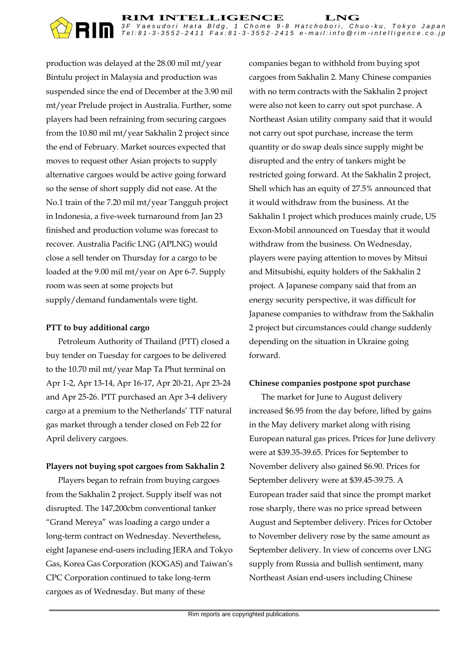

production was delayed at the 28.00 mil mt/year Bintulu project in Malaysia and production was suspended since the end of December at the 3.90 mil mt/year Prelude project in Australia. Further, some players had been refraining from securing cargoes from the 10.80 mil mt/year Sakhalin 2 project since the end of February. Market sources expected that moves to request other Asian projects to supply alternative cargoes would be active going forward so the sense of short supply did not ease. At the No.1 train of the 7.20 mil mt/year Tangguh project in Indonesia, a five-week turnaround from Jan 23 finished and production volume was forecast to recover. Australia Pacific LNG (APLNG) would close a sell tender on Thursday for a cargo to be loaded at the 9.00 mil mt/year on Apr 6-7. Supply room was seen at some projects but supply/demand fundamentals were tight.

#### **PTT to buy additional cargo**

Petroleum Authority of Thailand (PTT) closed a buy tender on Tuesday for cargoes to be delivered to the 10.70 mil mt/year Map Ta Phut terminal on Apr 1-2, Apr 13-14, Apr 16-17, Apr 20-21, Apr 23-24 and Apr 25-26. PTT purchased an Apr 3-4 delivery cargo at a premium to the Netherlands' TTF natural gas market through a tender closed on Feb 22 for April delivery cargoes.

## **Players not buying spot cargoes from Sakhalin 2**

Players began to refrain from buying cargoes from the Sakhalin 2 project. Supply itself was not disrupted. The 147,200cbm conventional tanker "Grand Mereya" was loading a cargo under a long-term contract on Wednesday. Nevertheless, eight Japanese end-users including JERA and Tokyo Gas, Korea Gas Corporation (KOGAS) and Taiwan's CPC Corporation continued to take long-term cargoes as of Wednesday. But many of these

companies began to withhold from buying spot cargoes from Sakhalin 2. Many Chinese companies with no term contracts with the Sakhalin 2 project were also not keen to carry out spot purchase. A Northeast Asian utility company said that it would not carry out spot purchase, increase the term quantity or do swap deals since supply might be disrupted and the entry of tankers might be restricted going forward. At the Sakhalin 2 project, Shell which has an equity of 27.5% announced that it would withdraw from the business. At the Sakhalin 1 project which produces mainly crude, US Exxon-Mobil announced on Tuesday that it would withdraw from the business. On Wednesday, players were paying attention to moves by Mitsui and Mitsubishi, equity holders of the Sakhalin 2 project. A Japanese company said that from an energy security perspective, it was difficult for Japanese companies to withdraw from the Sakhalin 2 project but circumstances could change suddenly depending on the situation in Ukraine going forward.

## **Chinese companies postpone spot purchase**

The market for June to August delivery increased \$6.95 from the day before, lifted by gains in the May delivery market along with rising European natural gas prices. Prices for June delivery were at \$39.35-39.65. Prices for September to November delivery also gained \$6.90. Prices for September delivery were at \$39.45-39.75. A European trader said that since the prompt market rose sharply, there was no price spread between August and September delivery. Prices for October to November delivery rose by the same amount as September delivery. In view of concerns over LNG supply from Russia and bullish sentiment, many Northeast Asian end-users including Chinese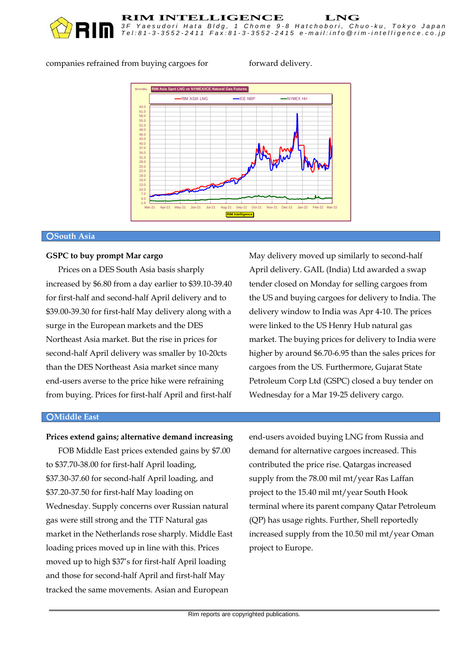

#### companies refrained from buying cargoes for forward delivery.

*3 F Y a e s u d o r i H a t a B l d g , 1 C h o m e 9 - 8 H a t c h o b o r i , C h u o - k u , T o k y o J a p a n T e l : 8 1 - 3 - 3 5 5 2 - 2411 F a x : 8 1 - 3 - 3 5 5 2 - 2415 e - m a i l : i n f o @ r i m - i n t e l l i g e n c e . c o . j p*



**RIM INTELLIGENCE** LNG<br>3F Yaesudori Hata Bldg, 1 Chome 9-8 Hatchobori, Ch

#### ○**South Asia**

#### **GSPC to buy prompt Mar cargo**

Prices on a DES South Asia basis sharply increased by \$6.80 from a day earlier to \$39.10-39.40 for first-half and second-half April delivery and to \$39.00-39.30 for first-half May delivery along with a surge in the European markets and the DES Northeast Asia market. But the rise in prices for second-half April delivery was smaller by 10-20cts than the DES Northeast Asia market since many end-users averse to the price hike were refraining from buying. Prices for first-half April and first-half May delivery moved up similarly to second-half April delivery. GAIL (India) Ltd awarded a swap tender closed on Monday for selling cargoes from the US and buying cargoes for delivery to India. The delivery window to India was Apr 4-10. The prices were linked to the US Henry Hub natural gas market. The buying prices for delivery to India were higher by around \$6.70-6.95 than the sales prices for cargoes from the US. Furthermore, Gujarat State Petroleum Corp Ltd (GSPC) closed a buy tender on Wednesday for a Mar 19-25 delivery cargo.

#### ○**Middle East**

#### **Prices extend gains; alternative demand increasing**

FOB Middle East prices extended gains by \$7.00 to \$37.70-38.00 for first-half April loading, \$37.30-37.60 for second-half April loading, and \$37.20-37.50 for first-half May loading on Wednesday. Supply concerns over Russian natural gas were still strong and the TTF Natural gas market in the Netherlands rose sharply. Middle East loading prices moved up in line with this. Prices moved up to high \$37's for first-half April loading and those for second-half April and first-half May tracked the same movements. Asian and European

end-users avoided buying LNG from Russia and demand for alternative cargoes increased. This contributed the price rise. Qatargas increased supply from the 78.00 mil mt/year Ras Laffan project to the 15.40 mil mt/year South Hook terminal where its parent company Qatar Petroleum (QP) has usage rights. Further, Shell reportedly increased supply from the 10.50 mil mt/year Oman project to Europe.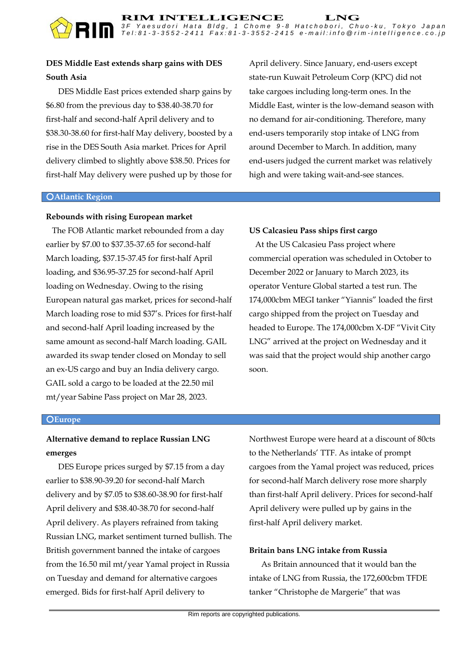# **DES Middle East extends sharp gains with DES South Asia**

DES Middle East prices extended sharp gains by \$6.80 from the previous day to \$38.40-38.70 for first-half and second-half April delivery and to \$38.30-38.60 for first-half May delivery, boosted by a rise in the DES South Asia market. Prices for April delivery climbed to slightly above \$38.50. Prices for first-half May delivery were pushed up by those for April delivery. Since January, end-users except state-run Kuwait Petroleum Corp (KPC) did not take cargoes including long-term ones. In the Middle East, winter is the low-demand season with no demand for air-conditioning. Therefore, many end-users temporarily stop intake of LNG from around December to March. In addition, many end-users judged the current market was relatively high and were taking wait-and-see stances.

#### ○**Atlantic Region**

## **Rebounds with rising European market**

 The FOB Atlantic market rebounded from a day earlier by \$7.00 to \$37.35-37.65 for second-half March loading, \$37.15-37.45 for first-half April loading, and \$36.95-37.25 for second-half April loading on Wednesday. Owing to the rising European natural gas market, prices for second-half March loading rose to mid \$37's. Prices for first-half and second-half April loading increased by the same amount as second-half March loading. GAIL awarded its swap tender closed on Monday to sell an ex-US cargo and buy an India delivery cargo. GAIL sold a cargo to be loaded at the 22.50 mil mt/year Sabine Pass project on Mar 28, 2023.

## **US Calcasieu Pass ships first cargo**

 At the US Calcasieu Pass project where commercial operation was scheduled in October to December 2022 or January to March 2023, its operator Venture Global started a test run. The 174,000cbm MEGI tanker "Yiannis" loaded the first cargo shipped from the project on Tuesday and headed to Europe. The 174,000cbm X-DF "Vivit City LNG" arrived at the project on Wednesday and it was said that the project would ship another cargo soon.

#### ○**Europe**

# **Alternative demand to replace Russian LNG emerges**

DES Europe prices surged by \$7.15 from a day earlier to \$38.90-39.20 for second-half March delivery and by \$7.05 to \$38.60-38.90 for first-half April delivery and \$38.40-38.70 for second-half April delivery. As players refrained from taking Russian LNG, market sentiment turned bullish. The British government banned the intake of cargoes from the 16.50 mil mt/year Yamal project in Russia on Tuesday and demand for alternative cargoes emerged. Bids for first-half April delivery to

Northwest Europe were heard at a discount of 80cts to the Netherlands' TTF. As intake of prompt cargoes from the Yamal project was reduced, prices for second-half March delivery rose more sharply than first-half April delivery. Prices for second-half April delivery were pulled up by gains in the first-half April delivery market.

## **Britain bans LNG intake from Russia**

As Britain announced that it would ban the intake of LNG from Russia, the 172,600cbm TFDE tanker "Christophe de Margerie" that was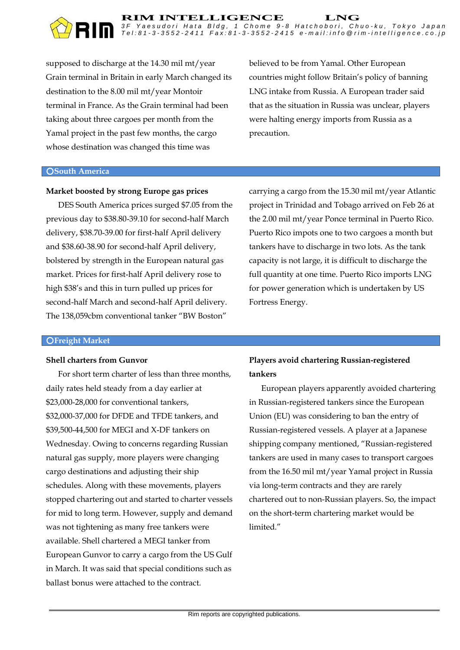supposed to discharge at the 14.30 mil mt/year Grain terminal in Britain in early March changed its destination to the 8.00 mil mt/year Montoir terminal in France. As the Grain terminal had been taking about three cargoes per month from the Yamal project in the past few months, the cargo whose destination was changed this time was

believed to be from Yamal. Other European countries might follow Britain's policy of banning LNG intake from Russia. A European trader said that as the situation in Russia was unclear, players were halting energy imports from Russia as a precaution.

#### ○**South America**

#### **Market boosted by strong Europe gas prices**

DES South America prices surged \$7.05 from the previous day to \$38.80-39.10 for second-half March delivery, \$38.70-39.00 for first-half April delivery and \$38.60-38.90 for second-half April delivery, bolstered by strength in the European natural gas market. Prices for first-half April delivery rose to high \$38's and this in turn pulled up prices for second-half March and second-half April delivery. The 138,059cbm conventional tanker "BW Boston"

carrying a cargo from the 15.30 mil mt/year Atlantic project in Trinidad and Tobago arrived on Feb 26 at the 2.00 mil mt/year Ponce terminal in Puerto Rico. Puerto Rico impots one to two cargoes a month but tankers have to discharge in two lots. As the tank capacity is not large, it is difficult to discharge the full quantity at one time. Puerto Rico imports LNG for power generation which is undertaken by US Fortress Energy.

#### ○**Freight Market**

#### **Shell charters from Gunvor**

For short term charter of less than three months, daily rates held steady from a day earlier at \$23,000-28,000 for conventional tankers, \$32,000-37,000 for DFDE and TFDE tankers, and \$39,500-44,500 for MEGI and X-DF tankers on Wednesday. Owing to concerns regarding Russian natural gas supply, more players were changing cargo destinations and adjusting their ship schedules. Along with these movements, players stopped chartering out and started to charter vessels for mid to long term. However, supply and demand was not tightening as many free tankers were available. Shell chartered a MEGI tanker from European Gunvor to carry a cargo from the US Gulf in March. It was said that special conditions such as ballast bonus were attached to the contract.

# **Players avoid chartering Russian-registered tankers**

European players apparently avoided chartering in Russian-registered tankers since the European Union (EU) was considering to ban the entry of Russian-registered vessels. A player at a Japanese shipping company mentioned, "Russian-registered tankers are used in many cases to transport cargoes from the 16.50 mil mt/year Yamal project in Russia via long-term contracts and they are rarely chartered out to non-Russian players. So, the impact on the short-term chartering market would be limited."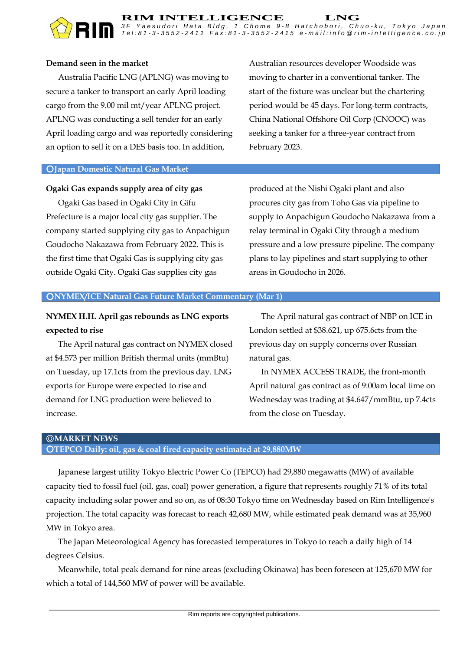

# **Demand seen in the market**

Australia Pacific LNG (APLNG) was moving to secure a tanker to transport an early April loading cargo from the 9.00 mil mt/year APLNG project. APLNG was conducting a sell tender for an early April loading cargo and was reportedly considering an option to sell it on a DES basis too. In addition,

Australian resources developer Woodside was moving to charter in a conventional tanker. The start of the fixture was unclear but the chartering period would be 45 days. For long-term contracts, China National Offshore Oil Corp (CNOOC) was seeking a tanker for a three-year contract from February 2023.

#### ○**Japan Domestic Natural Gas Market**

#### **Ogaki Gas expands supply area of city gas**

Ogaki Gas based in Ogaki City in Gifu Prefecture is a major local city gas supplier. The company started supplying city gas to Anpachigun Goudocho Nakazawa from February 2022. This is the first time that Ogaki Gas is supplying city gas outside Ogaki City. Ogaki Gas supplies city gas

produced at the Nishi Ogaki plant and also procures city gas from Toho Gas via pipeline to supply to Anpachigun Goudocho Nakazawa from a relay terminal in Ogaki City through a medium pressure and a low pressure pipeline. The company plans to lay pipelines and start supplying to other areas in Goudocho in 2026.

#### ○**NYMEX/ICE Natural Gas Future Market Commentary (Mar 1)**

# **NYMEX H.H. April gas rebounds as LNG exports expected to rise**

The April natural gas contract on NYMEX closed at \$4.573 per million British thermal units (mmBtu) on Tuesday, up 17.1cts from the previous day. LNG exports for Europe were expected to rise and demand for LNG production were believed to increase.

The April natural gas contract of NBP on ICE in London settled at \$38.621, up 675.6cts from the previous day on supply concerns over Russian natural gas.

In NYMEX ACCESS TRADE, the front-month April natural gas contract as of 9:00am local time on Wednesday was trading at \$4.647/mmBtu, up 7.4cts from the close on Tuesday.

## ◎**MARKET NEWS** ○**TEPCO Daily: oil, gas & coal fired capacity estimated at 29,880MW**

Japanese largest utility Tokyo Electric Power Co (TEPCO) had 29,880 megawatts (MW) of available capacity tied to fossil fuel (oil, gas, coal) power generation, a figure that represents roughly 71% of its total capacity including solar power and so on, as of 08:30 Tokyo time on Wednesday based on Rim Intelligence's projection. The total capacity was forecast to reach 42,680 MW, while estimated peak demand was at 35,960 MW in Tokyo area.

The Japan Meteorological Agency has forecasted temperatures in Tokyo to reach a daily high of 14 degrees Celsius.

Meanwhile, total peak demand for nine areas (excluding Okinawa) has been foreseen at 125,670 MW for which a total of 144,560 MW of power will be available.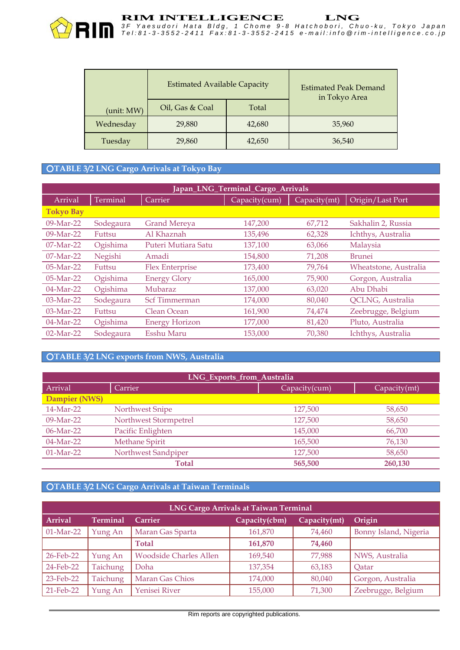

|            | <b>Estimated Available Capacity</b> |        | <b>Estimated Peak Demand</b><br>in Tokyo Area |
|------------|-------------------------------------|--------|-----------------------------------------------|
| (unit: MW) | Oil, Gas & Coal                     | Total  |                                               |
| Wednesday  | 29,880                              | 42,680 | 35,960                                        |
| Tuesday    | 29,860                              | 42,650 | 36,540                                        |

#### ○**TABLE 3/2 LNG Cargo Arrivals at Tokyo Bay**

| Japan_LNG_Terminal_Cargo_Arrivals |           |                        |               |              |                         |
|-----------------------------------|-----------|------------------------|---------------|--------------|-------------------------|
| Arrival                           | Terminal  | Carrier                | Capacity(cum) | Capacity(mt) | Origin/Last Port        |
| <b>Tokyo Bay</b>                  |           |                        |               |              |                         |
| $09-Mar-22$                       | Sodegaura | <b>Grand Mereya</b>    | 147,200       | 67,712       | Sakhalin 2, Russia      |
| $09-Mar-22$                       | Futtsu    | Al Khaznah             | 135,496       | 62,328       | Ichthys, Australia      |
| $07-Mar-22$                       | Ogishima  | Puteri Mutiara Satu    | 137,100       | 63,066       | Malaysia                |
| $07-Mar-22$                       | Negishi   | Amadi                  | 154,800       | 71,208       | <b>Brunei</b>           |
| $05-Mar-22$                       | Futtsu    | <b>Flex Enterprise</b> | 173,400       | 79,764       | Wheatstone, Australia   |
| $05-Mar-22$                       | Ogishima  | <b>Energy Glory</b>    | 165,000       | 75,900       | Gorgon, Australia       |
| $04-Mar-22$                       | Ogishima  | Mubaraz                | 137,000       | 63,020       | Abu Dhabi               |
| $03-Mar-22$                       | Sodegaura | <b>Scf Timmerman</b>   | 174,000       | 80,040       | <b>QCLNG, Australia</b> |
| 03-Mar-22                         | Futtsu    | Clean Ocean            | 161,900       | 74,474       | Zeebrugge, Belgium      |
| 04-Mar-22                         | Ogishima  | <b>Energy Horizon</b>  | 177,000       | 81,420       | Pluto, Australia        |
| $02-Mar-22$                       | Sodegaura | Esshu Maru             | 153,000       | 70,380       | Ichthys, Australia      |

# ○**TABLE 3/2 LNG exports from NWS, Australia**

| LNG_Exports_from_Australia |                       |               |              |
|----------------------------|-----------------------|---------------|--------------|
| Arrival                    | Carrier               | Capacity(cum) | Capacity(mt) |
| Dampier (NWS)              |                       |               |              |
| $14-Mar-22$                | Northwest Snipe       | 127,500       | 58,650       |
| $09-Mar-22$                | Northwest Stormpetrel | 127,500       | 58,650       |
| $06$ -Mar-22               | Pacific Enlighten     | 145,000       | 66,700       |
| $04-Mar-22$                | <b>Methane Spirit</b> | 165,500       | 76,130       |
| $01-Mar-22$                | Northwest Sandpiper   | 127,500       | 58,650       |
|                            | <b>Total</b>          | 565,500       | 260,130      |

# ○**TABLE 3/2 LNG Cargo Arrivals at Taiwan Terminals**

| <b>LNG Cargo Arrivals at Taiwan Terminal</b> |                 |                               |               |              |                       |
|----------------------------------------------|-----------------|-------------------------------|---------------|--------------|-----------------------|
| <b>Arrival</b>                               | <b>Terminal</b> | Carrier                       | Capacity(cbm) | Capacity(mt) | Origin                |
| $01-Mar-22$                                  | Yung An         | Maran Gas Sparta              | 161,870       | 74,460       | Bonny Island, Nigeria |
|                                              |                 | <b>Total</b>                  | 161,870       | 74,460       |                       |
| 26-Feb-22                                    | Yung An         | <b>Woodside Charles Allen</b> | 169,540       | 77,988       | NWS, Australia        |
| $24$ -Feb-22                                 | <b>Taichung</b> | Doha                          | 137,354       | 63,183       | Qatar                 |
| 23-Feb-22                                    | <b>Taichung</b> | Maran Gas Chios               | 174,000       | 80,040       | Gorgon, Australia     |
| 21-Feb-22                                    | Yung An         | Yenisei River                 | 155,000       | 71,300       | Zeebrugge, Belgium    |

Rim reports are copyrighted publications.